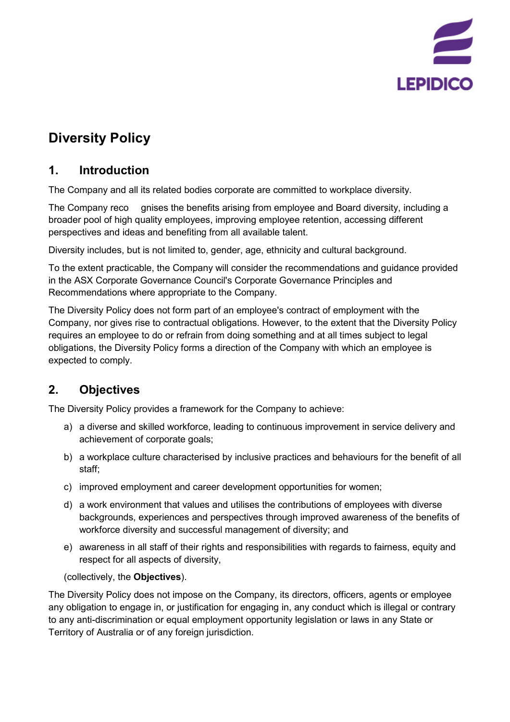

# **Diversity Policy**

## **1. Introduction**

The Company and all its related bodies corporate are committed to workplace diversity.

The Company reco gnises the benefits arising from employee and Board diversity, including a broader pool of high quality employees, improving employee retention, accessing different perspectives and ideas and benefiting from all available talent.

Diversity includes, but is not limited to, gender, age, ethnicity and cultural background.

To the extent practicable, the Company will consider the recommendations and guidance provided in the ASX Corporate Governance Council's Corporate Governance Principles and Recommendations where appropriate to the Company.

The Diversity Policy does not form part of an employee's contract of employment with the Company, nor gives rise to contractual obligations. However, to the extent that the Diversity Policy requires an employee to do or refrain from doing something and at all times subject to legal obligations, the Diversity Policy forms a direction of the Company with which an employee is expected to comply.

## **2. Objectives**

The Diversity Policy provides a framework for the Company to achieve:

- a) a diverse and skilled workforce, leading to continuous improvement in service delivery and achievement of corporate goals;
- b) a workplace culture characterised by inclusive practices and behaviours for the benefit of all staff;
- c) improved employment and career development opportunities for women;
- d) a work environment that values and utilises the contributions of employees with diverse backgrounds, experiences and perspectives through improved awareness of the benefits of workforce diversity and successful management of diversity; and
- e) awareness in all staff of their rights and responsibilities with regards to fairness, equity and respect for all aspects of diversity,

(collectively, the **Objectives**).

The Diversity Policy does not impose on the Company, its directors, officers, agents or employee any obligation to engage in, or justification for engaging in, any conduct which is illegal or contrary to any anti-discrimination or equal employment opportunity legislation or laws in any State or Territory of Australia or of any foreign jurisdiction.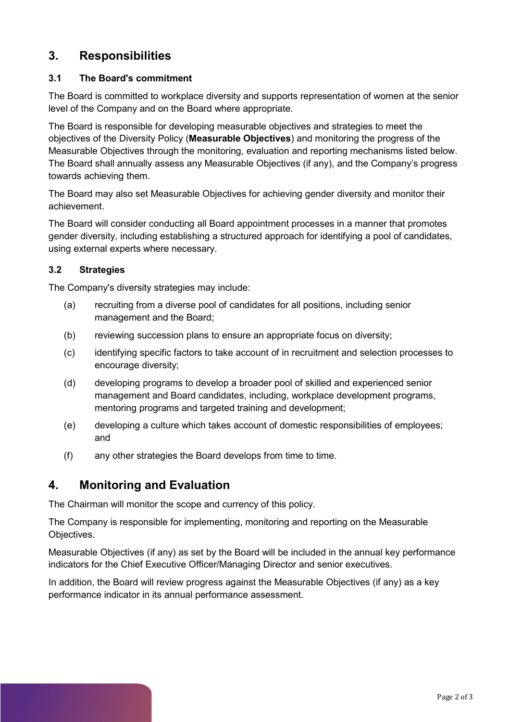### **3. Responsibilities**

#### **3.1 The Board's commitment**

The Board is committed to workplace diversity and supports representation of women at the senior level of the Company and on the Board where appropriate.

The Board is responsible for developing measurable objectives and strategies to meet the objectives of the Diversity Policy (**Measurable Objectives**) and monitoring the progress of the Measurable Objectives through the monitoring, evaluation and reporting mechanisms listed below. The Board shall annually assess any Measurable Objectives (if any), and the Company's progress towards achieving them.

The Board may also set Measurable Objectives for achieving gender diversity and monitor their achievement.

The Board will consider conducting all Board appointment processes in a manner that promotes gender diversity, including establishing a structured approach for identifying a pool of candidates, using external experts where necessary.

#### **3.2 Strategies**

The Company's diversity strategies may include:

- (a) recruiting from a diverse pool of candidates for all positions, including senior management and the Board;
- (b) reviewing succession plans to ensure an appropriate focus on diversity;
- (c) identifying specific factors to take account of in recruitment and selection processes to encourage diversity;
- (d) developing programs to develop a broader pool of skilled and experienced senior management and Board candidates, including, workplace development programs, mentoring programs and targeted training and development;
- (e) developing a culture which takes account of domestic responsibilities of employees; and
- (f) any other strategies the Board develops from time to time.

### **4. Monitoring and Evaluation**

The Chairman will monitor the scope and currency of this policy.

The Company is responsible for implementing, monitoring and reporting on the Measurable Objectives.

Measurable Objectives (if any) as set by the Board will be included in the annual key performance indicators for the Chief Executive Officer/Managing Director and senior executives.

In addition, the Board will review progress against the Measurable Objectives (if any) as a key performance indicator in its annual performance assessment.